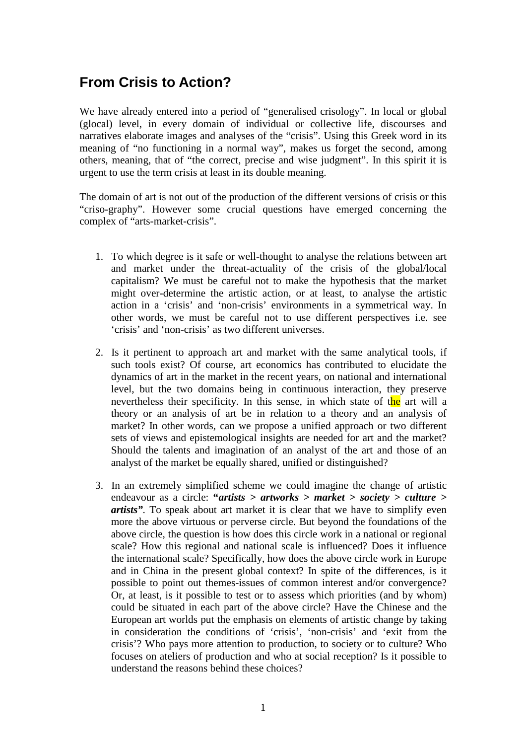## **From Crisis to Action?**

We have already entered into a period of "generalised crisology". In local or global (glocal) level, in every domain of individual or collective life, discourses and narratives elaborate images and analyses of the "crisis". Using this Greek word in its meaning of "no functioning in a normal way", makes us forget the second, among others, meaning, that of "the correct, precise and wise judgment". In this spirit it is urgent to use the term crisis at least in its double meaning.

The domain of art is not out of the production of the different versions of crisis or this "criso-graphy". However some crucial questions have emerged concerning the complex of "arts-market-crisis".

- 1. To which degree is it safe or well-thought to analyse the relations between art and market under the threat-actuality of the crisis of the global/local capitalism? We must be careful not to make the hypothesis that the market might over-determine the artistic action, or at least, to analyse the artistic action in a 'crisis' and 'non-crisis' environments in a symmetrical way. In other words, we must be careful not to use different perspectives i.e. see 'crisis' and 'non-crisis' as two different universes.
- 2. Is it pertinent to approach art and market with the same analytical tools, if such tools exist? Of course, art economics has contributed to elucidate the dynamics of art in the market in the recent years, on national and international level, but the two domains being in continuous interaction, they preserve nevertheless their specificity. In this sense, in which state of the art will a theory or an analysis of art be in relation to a theory and an analysis of market? In other words, can we propose a unified approach or two different sets of views and epistemological insights are needed for art and the market? Should the talents and imagination of an analyst of the art and those of an analyst of the market be equally shared, unified or distinguished?
- 3. In an extremely simplified scheme we could imagine the change of artistic endeavour as a circle: **"***artists > artworks > market > society > culture > artists".* To speak about art market it is clear that we have to simplify even more the above virtuous or perverse circle. But beyond the foundations of the above circle, the question is how does this circle work in a national or regional scale? How this regional and national scale is influenced? Does it influence the international scale? Specifically, how does the above circle work in Europe and in China in the present global context? In spite of the differences, is it possible to point out themes-issues of common interest and/or convergence? Or, at least, is it possible to test or to assess which priorities (and by whom) could be situated in each part of the above circle? Have the Chinese and the European art worlds put the emphasis on elements of artistic change by taking in consideration the conditions of 'crisis', 'non-crisis' and 'exit from the crisis'? Who pays more attention to production, to society or to culture? Who focuses on ateliers of production and who at social reception? Is it possible to understand the reasons behind these choices?